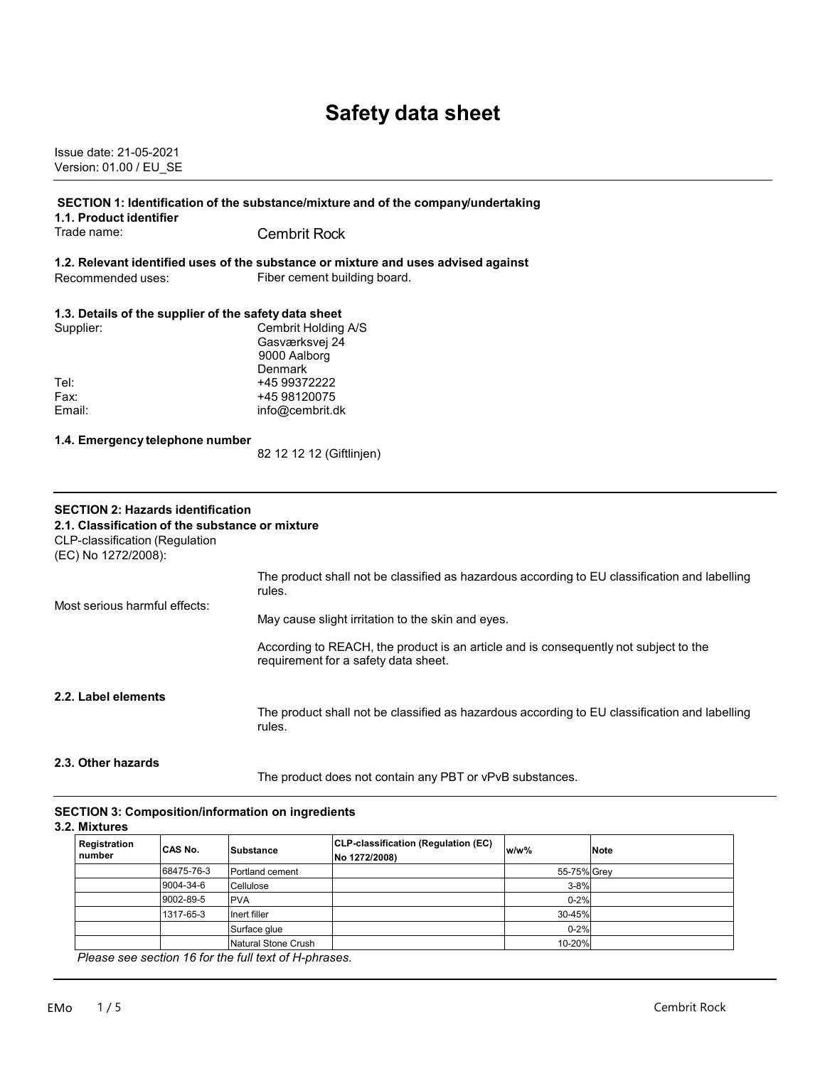# **Safety data sheet**

Issue date: 21-05-2021 Version: 01.00 / EU\_SE

| 1.1. Product identifier                                                                                                                                     | SECTION 1: Identification of the substance/mixture and of the company/undertaking                                            |  |  |
|-------------------------------------------------------------------------------------------------------------------------------------------------------------|------------------------------------------------------------------------------------------------------------------------------|--|--|
| Trade name:                                                                                                                                                 | <b>Cembrit Rock</b>                                                                                                          |  |  |
| Recommended uses:                                                                                                                                           | 1.2. Relevant identified uses of the substance or mixture and uses advised against<br>Fiber cement building board.           |  |  |
|                                                                                                                                                             |                                                                                                                              |  |  |
| 1.3. Details of the supplier of the safety data sheet                                                                                                       |                                                                                                                              |  |  |
| Supplier:                                                                                                                                                   | Cembrit Holding A/S                                                                                                          |  |  |
|                                                                                                                                                             | Gasværksvej 24                                                                                                               |  |  |
|                                                                                                                                                             | 9000 Aalborg<br>Denmark                                                                                                      |  |  |
| Tel:                                                                                                                                                        | +45 99372222                                                                                                                 |  |  |
| Fax:                                                                                                                                                        | +45 98120075                                                                                                                 |  |  |
| Email:                                                                                                                                                      | info@cembrit.dk                                                                                                              |  |  |
|                                                                                                                                                             |                                                                                                                              |  |  |
| 1.4. Emergency telephone number                                                                                                                             |                                                                                                                              |  |  |
|                                                                                                                                                             | 82 12 12 12 (Giftlinjen)                                                                                                     |  |  |
|                                                                                                                                                             |                                                                                                                              |  |  |
| <b>SECTION 2: Hazards identification</b><br>2.1. Classification of the substance or mixture<br><b>CLP-classification (Regulation</b><br>(EC) No 1272/2008): |                                                                                                                              |  |  |
| Most serious harmful effects:                                                                                                                               | The product shall not be classified as hazardous according to EU classification and labelling<br>rules.                      |  |  |
|                                                                                                                                                             | May cause slight irritation to the skin and eyes.                                                                            |  |  |
|                                                                                                                                                             | According to REACH, the product is an article and is consequently not subject to the<br>requirement for a safety data sheet. |  |  |
| 2.2. Label elements                                                                                                                                         | The product shall not be classified as hazardous according to EU classification and labelling<br>rules.                      |  |  |
| 2.3. Other hazards                                                                                                                                          |                                                                                                                              |  |  |

The product does not contain any PBT or vPvB substances.

#### **SECTION 3: Composition/information on ingredients**

**3.2. Mixtures**

| Registration<br>number | ICAS No.   | Substance           | CLP-classification (Regulation (EC)<br>No 1272/2008) | $w/w$ %     | <b>Note</b> |
|------------------------|------------|---------------------|------------------------------------------------------|-------------|-------------|
|                        | 68475-76-3 | Portland cement     |                                                      | 55-75% Grey |             |
|                        | 9004-34-6  | Cellulose           |                                                      | $3 - 8%$    |             |
|                        | 9002-89-5  | <b>PVA</b>          |                                                      | $0 - 2%$    |             |
|                        | 1317-65-3  | Inert filler        |                                                      | 30-45%      |             |
|                        |            | Surface glue        |                                                      | $0 - 2%$    |             |
|                        |            | Natural Stone Crush |                                                      | 10-20%      |             |
| - -                    |            |                     |                                                      |             |             |

*Please see section 16 for the full text of H-phrases.*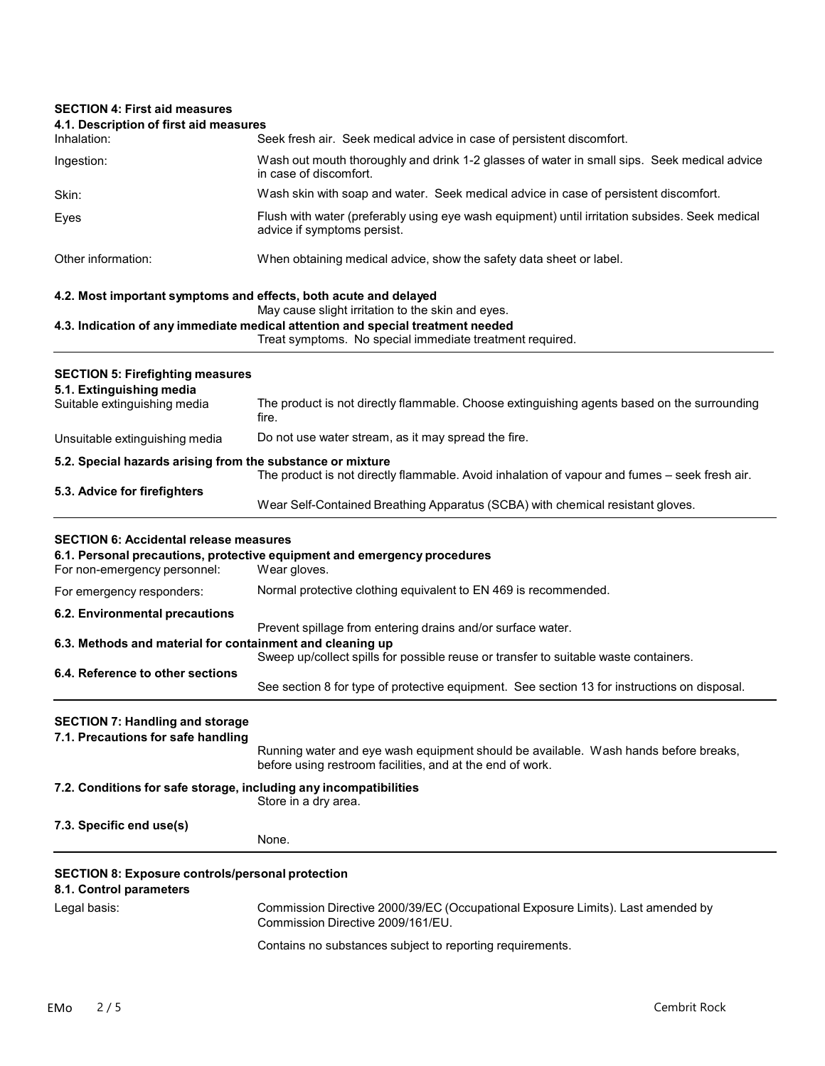## **SECTION 4: First aid measures 4.1. Description of first aid measures** Inhalation: Seek fresh air. Seek medical advice in case of persistent discomfort. Ingestion: Wash out mouth thoroughly and drink 1-2 glasses of water in small sips. Seek medical advice in case of discomfort. Skin: Wash skin with soap and water. Seek medical advice in case of persistent discomfort. Eyes Flush with water (preferably using eye wash equipment) until irritation subsides. Seek medical advice if symptoms persist. Other information: When obtaining medical advice, show the safety data sheet or label. **4.2. Most important symptoms and effects, both acute and delayed** May cause slight irritation to the skin and eyes. **4.3. Indication of any immediate medical attention and special treatment needed** Treat symptoms. No special immediate treatment required. **SECTION 5: Firefighting measures 5.1. Extinguishing media** The product is not directly flammable. Choose extinguishing agents based on the surrounding fire. Unsuitable extinguishing media Do not use water stream, as it may spread the fire. **5.2. Special hazards arising from the substance or mixture** The product is not directly flammable. Avoid inhalation of vapour and fumes – seek fresh air. **5.3. Advice for firefighters** Wear Self-Contained Breathing Apparatus (SCBA) with chemical resistant gloves. **SECTION 6: Accidental release measures 6.1. Personal precautions, protective equipment and emergency procedures** For non-emergency personnel: For emergency responders: Normal protective clothing equivalent to EN 469 is recommended. **6.2. Environmental precautions** Prevent spillage from entering drains and/or surface water. **6.3. Methods and material for containment and cleaning up** Sweep up/collect spills for possible reuse or transfer to suitable waste containers. **6.4. Reference to other sections** See section 8 for type of protective equipment. See section 13 for instructions on disposal. **SECTION 7: Handling and storage 7.1. Precautions for safe handling** Running water and eye wash equipment should be available. Wash hands before breaks, before using restroom facilities, and at the end of work. **7.2. Conditions for safe storage, including any incompatibilities** Store in a dry area. **7.3. Specific end use(s)** None. **SECTION 8: Exposure controls/personal protection 8.1. Control parameters** Legal basis: Commission Directive 2000/39/EC (Occupational Exposure Limits). Last amended by Commission Directive 2009/161/EU. Contains no substances subject to reporting requirements.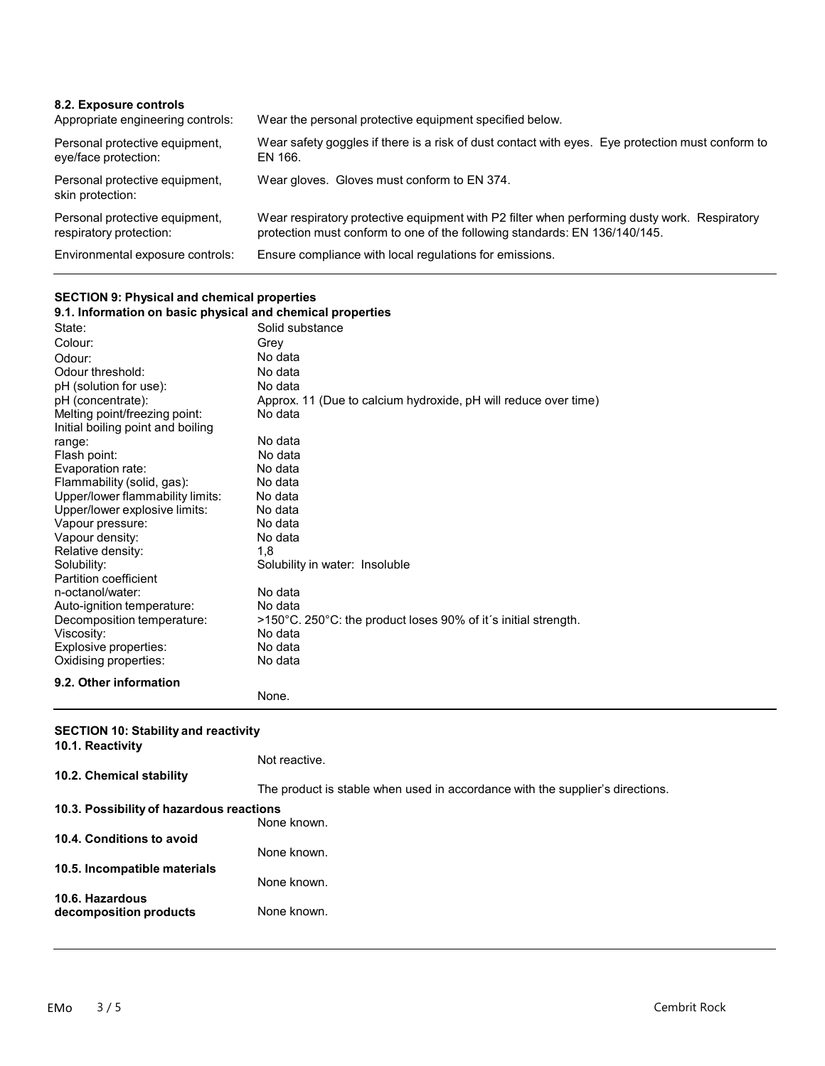| 8.2. Exposure controls<br>Appropriate engineering controls: | Wear the personal protective equipment specified below.                                                                                                                    |
|-------------------------------------------------------------|----------------------------------------------------------------------------------------------------------------------------------------------------------------------------|
| Personal protective equipment,<br>eye/face protection:      | Wear safety goggles if there is a risk of dust contact with eyes. Eye protection must conform to<br>EN 166.                                                                |
| Personal protective equipment,<br>skin protection:          | Wear gloves. Gloves must conform to EN 374.                                                                                                                                |
| Personal protective equipment,<br>respiratory protection:   | Wear respiratory protective equipment with P2 filter when performing dusty work. Respiratory<br>protection must conform to one of the following standards: EN 136/140/145. |
| Environmental exposure controls:                            | Ensure compliance with local regulations for emissions.                                                                                                                    |

### **SECTION 9: Physical and chemical properties**

| 9.1. Information on basic physical and chemical properties |                                                                 |  |
|------------------------------------------------------------|-----------------------------------------------------------------|--|
| State:                                                     | Solid substance                                                 |  |
| Colour:                                                    | Grev                                                            |  |
| Odour:                                                     | No data                                                         |  |
| Odour threshold:                                           | No data                                                         |  |
| pH (solution for use):                                     | No data                                                         |  |
| pH (concentrate):                                          | Approx. 11 (Due to calcium hydroxide, pH will reduce over time) |  |
| Melting point/freezing point:                              | No data                                                         |  |
| Initial boiling point and boiling                          |                                                                 |  |
| range:                                                     | No data                                                         |  |
| Flash point:                                               | No data                                                         |  |
| Evaporation rate:                                          | No data                                                         |  |
| Flammability (solid, gas):                                 | No data                                                         |  |
| Upper/lower flammability limits:                           | No data                                                         |  |
| Upper/lower explosive limits:                              | No data                                                         |  |
| Vapour pressure:                                           | No data                                                         |  |
| Vapour density:                                            | No data                                                         |  |
| Relative density:                                          | 1.8                                                             |  |
| Solubility:                                                | Solubility in water: Insoluble                                  |  |
| Partition coefficient                                      |                                                                 |  |
| n-octanol/water:                                           | No data                                                         |  |
| Auto-ignition temperature:                                 | No data                                                         |  |
| Decomposition temperature:                                 | >150°C. 250°C: the product loses 90% of it's initial strength.  |  |
| Viscosity:                                                 | No data                                                         |  |
| Explosive properties:                                      | No data                                                         |  |
| Oxidising properties:                                      | No data                                                         |  |
| 9.2. Other information                                     |                                                                 |  |
|                                                            | None.                                                           |  |

#### **SECTION 10: Stability and reactivity**

| 10.1. Reactivity                          | Not reactive.                                                                 |
|-------------------------------------------|-------------------------------------------------------------------------------|
| 10.2. Chemical stability                  |                                                                               |
|                                           | The product is stable when used in accordance with the supplier's directions. |
| 10.3. Possibility of hazardous reactions  | None known.                                                                   |
| 10.4. Conditions to avoid                 | None known.                                                                   |
| 10.5. Incompatible materials              | None known.                                                                   |
| 10.6. Hazardous<br>decomposition products | None known.                                                                   |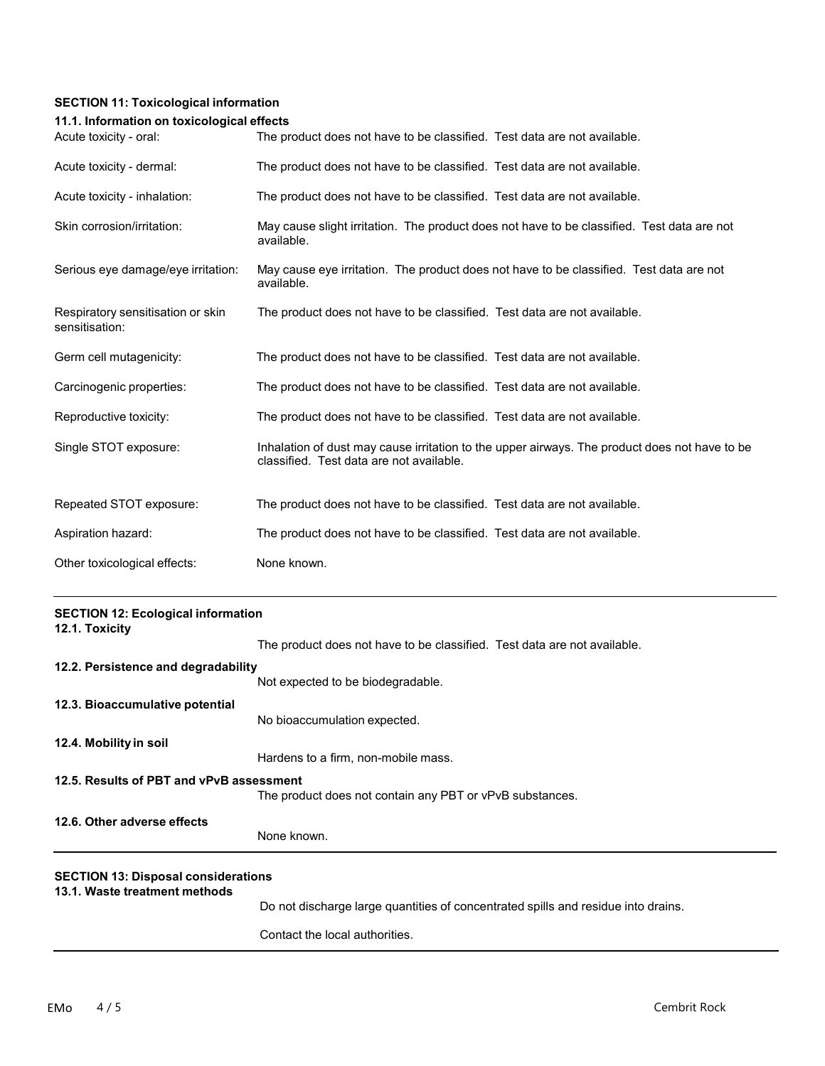## **SECTION 11: Toxicological information**

#### **11.1. Information on toxicological effects**

| Acute toxicity - oral:                              | The product does not have to be classified. Test data are not available.                                                                  |
|-----------------------------------------------------|-------------------------------------------------------------------------------------------------------------------------------------------|
| Acute toxicity - dermal:                            | The product does not have to be classified. Test data are not available.                                                                  |
| Acute toxicity - inhalation:                        | The product does not have to be classified. Test data are not available.                                                                  |
| Skin corrosion/irritation:                          | May cause slight irritation. The product does not have to be classified. Test data are not<br>available.                                  |
| Serious eye damage/eye irritation:                  | May cause eye irritation. The product does not have to be classified. Test data are not<br>available.                                     |
| Respiratory sensitisation or skin<br>sensitisation: | The product does not have to be classified. Test data are not available.                                                                  |
| Germ cell mutagenicity:                             | The product does not have to be classified. Test data are not available.                                                                  |
| Carcinogenic properties:                            | The product does not have to be classified. Test data are not available.                                                                  |
| Reproductive toxicity:                              | The product does not have to be classified. Test data are not available.                                                                  |
| Single STOT exposure:                               | Inhalation of dust may cause irritation to the upper airways. The product does not have to be<br>classified. Test data are not available. |
| Repeated STOT exposure:                             | The product does not have to be classified. Test data are not available.                                                                  |
| Aspiration hazard:                                  | The product does not have to be classified. Test data are not available.                                                                  |
| Other toxicological effects:                        | None known.                                                                                                                               |

| <b>SECTION 12: Ecological information</b><br>12.1. Toxicity                 |                                                                                   |
|-----------------------------------------------------------------------------|-----------------------------------------------------------------------------------|
|                                                                             | The product does not have to be classified. Test data are not available.          |
| 12.2. Persistence and degradability                                         |                                                                                   |
|                                                                             | Not expected to be biodegradable.                                                 |
| 12.3. Bioaccumulative potential                                             |                                                                                   |
|                                                                             | No bioaccumulation expected.                                                      |
| 12.4. Mobility in soil                                                      |                                                                                   |
|                                                                             | Hardens to a firm, non-mobile mass.                                               |
| 12.5. Results of PBT and vPvB assessment                                    |                                                                                   |
|                                                                             | The product does not contain any PBT or vPvB substances.                          |
| 12.6. Other adverse effects                                                 |                                                                                   |
|                                                                             | None known.                                                                       |
| <b>SECTION 13: Disposal considerations</b><br>13.1. Waste treatment methods |                                                                                   |
|                                                                             | Do not discharge large quantities of concentrated spills and residue into drains. |
|                                                                             | Contact the local authorities.                                                    |